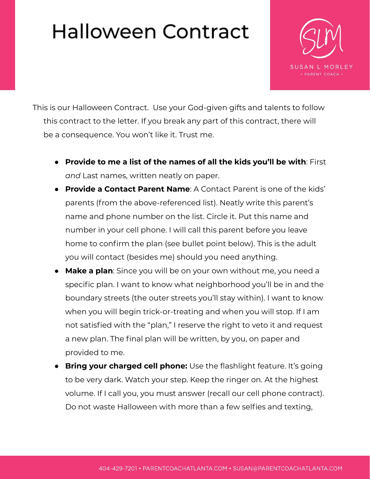## Halloween Contract



This is our Halloween Contract. Use your God-given gifts and talents to follow this contract to the letter. If you break any part of this contract, there will be a consequence. You won't like it. Trust me.

- **Provide to me a list of the names of all the kids you'll be with**: First *and* Last names, written neatly on paper.
- **Provide a Contact Parent Name**: A Contact Parent is one of the kids' parents (from the above-referenced list). Neatly write this parent's name and phone number on the list. Circle it. Put this name and number in your cell phone. I will call this parent before you leave home to confirm the plan (see bullet point below). This is the adult you will contact (besides me) should you need anything.
- **Make a plan**: Since you will be on your own without me, you need a specific plan. I want to know what neighborhood you'll be in and the boundary streets (the outer streets you'll stay within). I want to know when you will begin trick-or-treating and when you will stop. If I am not satisfied with the "plan," I reserve the right to veto it and request a new plan. The final plan will be written, by you, on paper and provided to me.
- **Bring your charged cell phone:** Use the flashlight feature. It's going to be very dark. Watch your step. Keep the ringer on. At the highest volume. If I call you, you must answer (recall our cell phone contract). Do not waste Halloween with more than a few selfies and texting,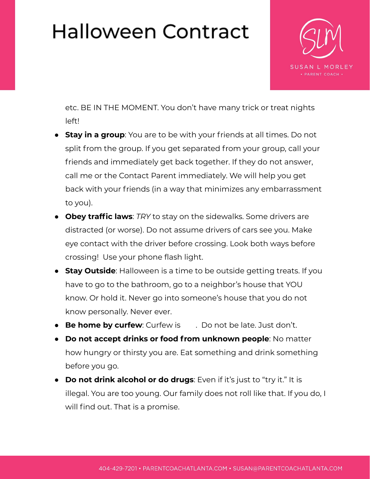## Halloween Contract



etc. BE IN THE MOMENT. You don't have many trick or treat nights left!

- **Stay in a group**: You are to be with your friends at all times. Do not split from the group. If you get separated from your group, call your friends and immediately get back together. If they do not answer, call me or the Contact Parent immediately. We will help you get back with your friends (in a way that minimizes any embarrassment to you).
- **Obey traffic laws**: *TRY* to stay on the sidewalks. Some drivers are distracted (or worse). Do not assume drivers of cars see you. Make eye contact with the driver before crossing. Look both ways before crossing! Use your phone flash light.
- **Stay Outside**: Halloween is a time to be outside getting treats. If you have to go to the bathroom, go to a neighbor's house that YOU know. Or hold it. Never go into someone's house that you do not know personally. Never ever.
- **Be home by curfew**: Curfew is . Do not be late. Just don't.
- **Do not accept drinks or food from unknown people**: No matter how hungry or thirsty you are. Eat something and drink something before you go.
- **Do not drink alcohol or do drugs**: Even if it's just to "try it." It is illegal. You are too young. Our family does not roll like that. If you do, I will find out. That is a promise.